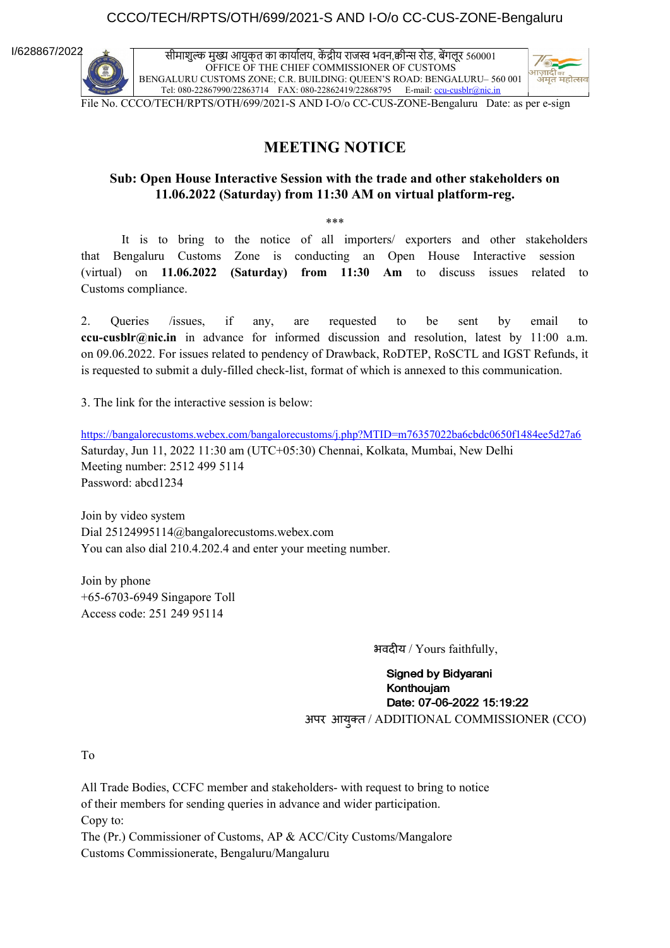#### CCCO/TECH/RPTS/OTH/699/2021-S AND I-O/o CC-CUS-ZONE-Bengaluru

I/628867/2022

सीमाशुल्क मुख्य आयुक्त का कार्यालय, कें द्रीय राजस्व भवन,क्वीन्स रोड, बेंगलूर 560001 OFFICE OF THE CHIEF COMMISSIONER OF CUSTOMS BENGALURU CUSTOMS ZONE; C.R. BUILDING: QUEEN'S ROAD: BENGALURU– 560 001 Tel: 080-22867990/22863714 FAX: 080-22862419/22868795 E-mail: ccu-cusblr@nic.in



File No. CCCO/TECH/RPTS/OTH/699/2021-S AND I-O/o CC-CUS-ZONE-Bengaluru Date: as per e-sign

#### **MEETING NOTICE**

#### **Sub: Open House Interactive Session with the trade and other stakeholders on 11.06.2022 (Saturday) from 11:30 AM on virtual platform-reg.**

\*\*\*

It is to bring to the notice of all importers/ exporters and other stakeholders that Bengaluru Customs Zone is conducting an Open House Interactive session (virtual) on **11.06.2022 (Saturday) from 11:30 Am** to discuss issues related to Customs compliance.

2. Queries /issues, if any, are requested to be sent by email to **ccu-cusblr@nic.in** in advance for informed discussion and resolution, latest by 11:00 a.m. on 09.06.2022. For issues related to pendency of Drawback, RoDTEP, RoSCTL and IGST Refunds, it is requested to submit a duly-filled check-list, format of which is annexed to this communication.

3. The link for the interactive session is below:

https://bangalorecustoms.webex.com/bangalorecustoms/j.php?MTID=m76357022ba6cbdc0650f1484ee5d27a6 Saturday, Jun 11, 2022 11:30 am (UTC+05:30) Chennai, Kolkata, Mumbai, New Delhi Meeting number: 2512 499 5114 Password: abcd1234

Join by video system Dial 25124995114@bangalorecustoms.webex.com You can also dial 210.4.202.4 and enter your meeting number.

Join by phone +65-6703-6949 Singapore Toll Access code: 251 249 95114

भवदीय / Yours faithfully,

**Signed by Bidvarani** Konthouiam Date: 07-06-2022 15:19:22 अपर आयुक्त / ADDITIONAL COMMISSIONER (CCO)

To

All Trade Bodies, CCFC member and stakeholders- with request to bring to notice of their members for sending queries in advance and wider participation. Copy to: The (Pr.) Commissioner of Customs, AP & ACC/City Customs/Mangalore Customs Commissionerate, Bengaluru/Mangaluru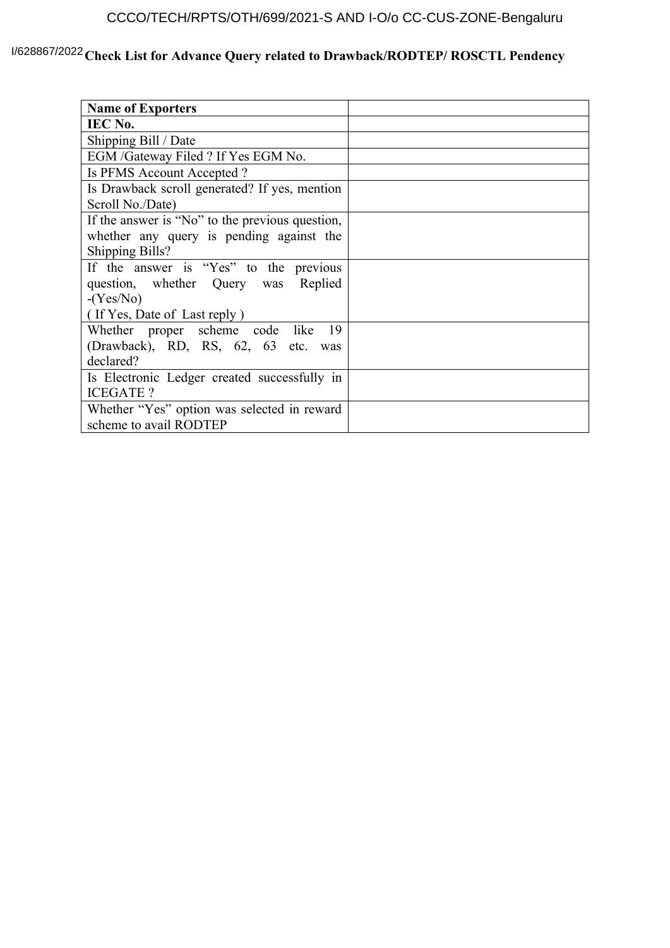# CCCO/TECH/RPTS/OTH/699/2021-S AND I-O/o CC-CUS-ZONE-Bengaluru

### <sup>1/628867/2022</sup> Check List for Advance Query related to Drawback/RODTEP/ ROSCTL Pendency

| <b>Name of Exporters</b>                        |  |
|-------------------------------------------------|--|
| IEC No.                                         |  |
| Shipping Bill / Date                            |  |
| EGM /Gateway Filed ? If Yes EGM No.             |  |
| Is PFMS Account Accepted?                       |  |
| Is Drawback scroll generated? If yes, mention   |  |
| Scroll No./Date)                                |  |
| If the answer is "No" to the previous question, |  |
| whether any query is pending against the        |  |
| <b>Shipping Bills?</b>                          |  |
| If the answer is "Yes" to the previous          |  |
| question, whether Query was Replied             |  |
| $-(Yes/No)$                                     |  |
| (If Yes, Date of Last reply)                    |  |
| Whether proper scheme code like 19              |  |
| (Drawback), RD, RS, 62, 63 etc. was             |  |
| declared?                                       |  |
| Is Electronic Ledger created successfully in    |  |
| <b>ICEGATE?</b>                                 |  |
| Whether "Yes" option was selected in reward     |  |
| scheme to avail RODTEP                          |  |